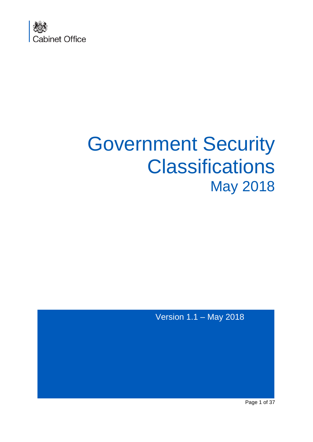

# Government Security **Classifications** May 2018

Version 1.1 – May 2018

Page 1 of 37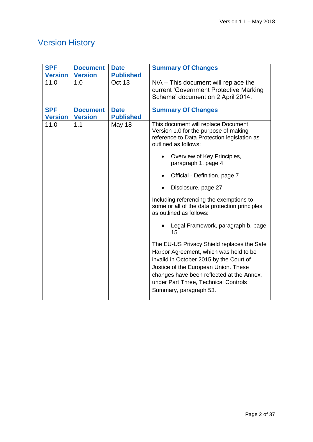## Version History

| <b>SPF</b><br><b>Version</b> | <b>Document</b><br><b>Version</b> | <b>Date</b><br><b>Published</b> | <b>Summary Of Changes</b>                                                                                                                                                                                                                                                              |  |
|------------------------------|-----------------------------------|---------------------------------|----------------------------------------------------------------------------------------------------------------------------------------------------------------------------------------------------------------------------------------------------------------------------------------|--|
| 11.0                         | 1.0                               | Oct 13                          | $N/A$ – This document will replace the<br>current 'Government Protective Marking<br>Scheme' document on 2 April 2014.                                                                                                                                                                  |  |
| <b>SPF</b><br><b>Version</b> | <b>Document</b><br><b>Version</b> | <b>Date</b><br><b>Published</b> | <b>Summary Of Changes</b>                                                                                                                                                                                                                                                              |  |
| 11.0                         | 1.1                               | <b>May 18</b>                   | This document will replace Document<br>Version 1.0 for the purpose of making<br>reference to Data Protection legislation as<br>outlined as follows:                                                                                                                                    |  |
|                              |                                   |                                 | Overview of Key Principles,<br>paragraph 1, page 4                                                                                                                                                                                                                                     |  |
|                              |                                   |                                 | Official - Definition, page 7                                                                                                                                                                                                                                                          |  |
|                              |                                   |                                 | Disclosure, page 27                                                                                                                                                                                                                                                                    |  |
|                              |                                   |                                 | Including referencing the exemptions to<br>some or all of the data protection principles<br>as outlined as follows:                                                                                                                                                                    |  |
|                              |                                   |                                 | Legal Framework, paragraph b, page<br>15                                                                                                                                                                                                                                               |  |
|                              |                                   |                                 | The EU-US Privacy Shield replaces the Safe<br>Harbor Agreement, which was held to be<br>invalid in October 2015 by the Court of<br>Justice of the European Union. These<br>changes have been reflected at the Annex,<br>under Part Three, Technical Controls<br>Summary, paragraph 53. |  |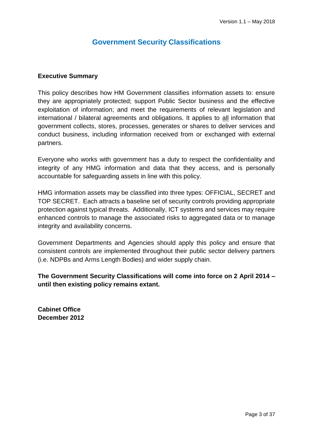## **Government Security Classifications**

#### **Executive Summary**

This policy describes how HM Government classifies information assets to: ensure they are appropriately protected; support Public Sector business and the effective exploitation of information; and meet the requirements of relevant legislation and international / bilateral agreements and obligations. It applies to all information that government collects, stores, processes, generates or shares to deliver services and conduct business, including information received from or exchanged with external partners.

Everyone who works with government has a duty to respect the confidentiality and integrity of any HMG information and data that they access, and is personally accountable for safeguarding assets in line with this policy.

HMG information assets may be classified into three types: OFFICIAL, SECRET and TOP SECRET. Each attracts a baseline set of security controls providing appropriate protection against typical threats. Additionally, ICT systems and services may require enhanced controls to manage the associated risks to aggregated data or to manage integrity and availability concerns.

Government Departments and Agencies should apply this policy and ensure that consistent controls are implemented throughout their public sector delivery partners (i.e. NDPBs and Arms Length Bodies) and wider supply chain.

**The Government Security Classifications will come into force on 2 April 2014 – until then existing policy remains extant.**

**Cabinet Office December 2012**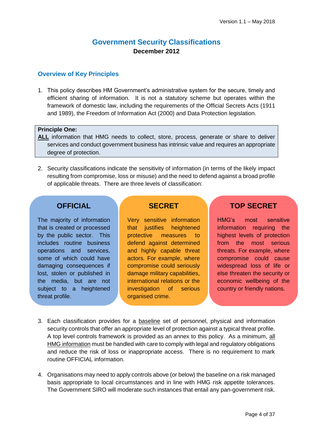## **Government Security Classifications December 2012**

#### **Overview of Key Principles**

1. This policy describes HM Government's administrative system for the secure, timely and efficient sharing of information. It is not a statutory scheme but operates within the framework of domestic law, including the requirements of the Official Secrets Acts (1911 and 1989), the Freedom of Information Act (2000) and Data Protection legislation.

#### **Principle One:**

- **ALL** information that HMG needs to collect, store, process, generate or share to deliver services and conduct government business has intrinsic value and requires an appropriate degree of protection.
- 2. Security classifications indicate the sensitivity of information (in terms of the likely impact resulting from compromise, loss or misuse) and the need to defend against a broad profile of applicable threats. There are three levels of classification:

## **OFFICIAL**

The majority of information that is created or processed by the public sector. This includes routine business operations and services, some of which could have damaging consequences if lost, stolen or published in the media, but are not subject to a heightened threat profile.

## **SECRET**

Very sensitive information that justifies heightened protective measures to defend against determined and highly capable threat actors. For example, where compromise could seriously damage military capabilities, international relations or the investigation of serious organised crime.

## **TOP SECRET**

HMG's most sensitive information requiring the highest levels of protection from the most serious threats. For example, where compromise could cause widespread loss of life or else threaten the security or economic wellbeing of the country or friendly nations.

- 3. Each classification provides for a baseline set of personnel, physical and information security controls that offer an appropriate level of protection against a typical threat profile. A top level controls framework is provided as an annex to this policy. As a minimum, all HMG information must be handled with care to comply with legal and regulatory obligations and reduce the risk of loss or inappropriate access. There is no requirement to mark routine OFFICIAL information.
- 4. Organisations may need to apply controls above (or below) the baseline on a risk managed basis appropriate to local circumstances and in line with HMG risk appetite tolerances. The Government SIRO will moderate such instances that entail any pan-government risk.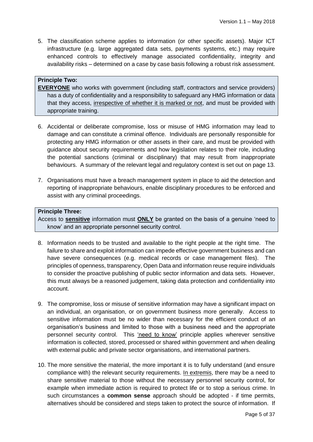5. The classification scheme applies to information (or other specific assets). Major ICT infrastructure (e.g. large aggregated data sets, payments systems, etc.) may require enhanced controls to effectively manage associated confidentiality, integrity and availability risks – determined on a case by case basis following a robust risk assessment.

## **Principle Two:**

**EVERYONE** who works with government (including staff, contractors and service providers) has a duty of confidentiality and a responsibility to safeguard any HMG information or data that they access, irrespective of whether it is marked or not, and must be provided with appropriate training.

- 6. Accidental or deliberate compromise, loss or misuse of HMG information may lead to damage and can constitute a criminal offence. Individuals are personally responsible for protecting any HMG information or other assets in their care, and must be provided with guidance about security requirements and how legislation relates to their role, including the potential sanctions (criminal or disciplinary) that may result from inappropriate behaviours. A summary of the relevant legal and regulatory context is set out on page 13.
- 7. Organisations must have a breach management system in place to aid the detection and reporting of inappropriate behaviours, enable disciplinary procedures to be enforced and assist with any criminal proceedings.

#### **Principle Three:**

Access to **sensitive** information must **ONLY** be granted on the basis of a genuine 'need to know' and an appropriate personnel security control.

- 8. Information needs to be trusted and available to the right people at the right time. The failure to share and exploit information can impede effective government business and can have severe consequences (e.g. medical records or case management files). The principles of openness, transparency, Open Data and information reuse require individuals to consider the proactive publishing of public sector information and data sets. However, this must always be a reasoned judgement, taking data protection and confidentiality into account.
- 9. The compromise, loss or misuse of sensitive information may have a significant impact on an individual, an organisation, or on government business more generally. Access to sensitive information must be no wider than necessary for the efficient conduct of an organisation's business and limited to those with a business need and the appropriate personnel security control. This 'need to know' principle applies wherever sensitive information is collected, stored, processed or shared within government and when dealing with external public and private sector organisations, and international partners.
- 10. The more sensitive the material, the more important it is to fully understand (and ensure compliance with) the relevant security requirements. In extremis, there may be a need to share sensitive material to those without the necessary personnel security control, for example when immediate action is required to protect life or to stop a serious crime. In such circumstances a **common sense** approach should be adopted - if time permits, alternatives should be considered and steps taken to protect the source of information. If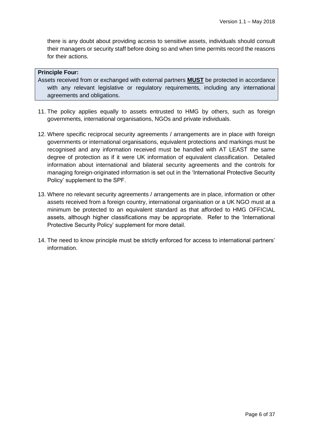there is any doubt about providing access to sensitive assets, individuals should consult their managers or security staff before doing so and when time permits record the reasons for their actions.

#### **Principle Four:**

Assets received from or exchanged with external partners **MUST** be protected in accordance with any relevant legislative or regulatory requirements, including any international agreements and obligations.

- 11. The policy applies equally to assets entrusted to HMG by others, such as foreign governments, international organisations, NGOs and private individuals.
- 12. Where specific reciprocal security agreements / arrangements are in place with foreign governments or international organisations, equivalent protections and markings must be recognised and any information received must be handled with AT LEAST the same degree of protection as if it were UK information of equivalent classification. Detailed information about international and bilateral security agreements and the controls for managing foreign-originated information is set out in the 'International Protective Security Policy' supplement to the SPF.
- 13. Where no relevant security agreements / arrangements are in place, information or other assets received from a foreign country, international organisation or a UK NGO must at a minimum be protected to an equivalent standard as that afforded to HMG OFFICIAL assets, although higher classifications may be appropriate. Refer to the 'International Protective Security Policy' supplement for more detail.
- 14. The need to know principle must be strictly enforced for access to international partners' information.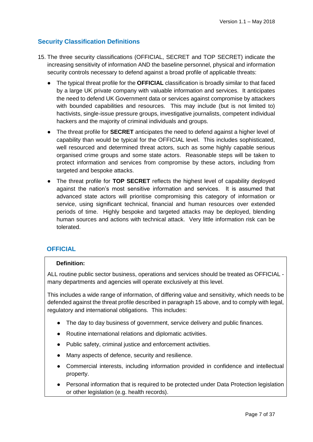## **Security Classification Definitions**

- 15. The three security classifications (OFFICIAL, SECRET and TOP SECRET) indicate the increasing sensitivity of information AND the baseline personnel, physical and information security controls necessary to defend against a broad profile of applicable threats:
	- The typical threat profile for the **OFFICIAL** classification is broadly similar to that faced by a large UK private company with valuable information and services. It anticipates the need to defend UK Government data or services against compromise by attackers with bounded capabilities and resources. This may include (but is not limited to) hactivists, single-issue pressure groups, investigative journalists, competent individual hackers and the majority of criminal individuals and groups.
	- The threat profile for **SECRET** anticipates the need to defend against a higher level of capability than would be typical for the OFFICIAL level. This includes sophisticated, well resourced and determined threat actors, such as some highly capable serious organised crime groups and some state actors. Reasonable steps will be taken to protect information and services from compromise by these actors, including from targeted and bespoke attacks.
	- The threat profile for **TOP SECRET** reflects the highest level of capability deployed against the nation's most sensitive information and services. It is assumed that advanced state actors will prioritise compromising this category of information or service, using significant technical, financial and human resources over extended periods of time. Highly bespoke and targeted attacks may be deployed, blending human sources and actions with technical attack. Very little information risk can be tolerated.

#### **OFFICIAL**

#### **Definition:**

ALL routine public sector business, operations and services should be treated as OFFICIAL many departments and agencies will operate exclusively at this level.

This includes a wide range of information, of differing value and sensitivity, which needs to be defended against the threat profile described in paragraph 15 above, and to comply with legal, regulatory and international obligations. This includes:

- The day to day business of government, service delivery and public finances.
- Routine international relations and diplomatic activities.
- Public safety, criminal justice and enforcement activities.
- Many aspects of defence, security and resilience.
- Commercial interests, including information provided in confidence and intellectual property.
- Personal information that is required to be protected under Data Protection legislation or other legislation (e.g. health records).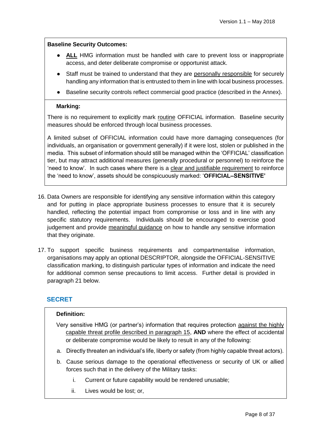#### **Baseline Security Outcomes:**

- **ALL** HMG information must be handled with care to prevent loss or inappropriate access, and deter deliberate compromise or opportunist attack.
- Staff must be trained to understand that they are personally responsible for securely handling any information that is entrusted to them in line with local business processes.
- Baseline security controls reflect commercial good practice (described in the Annex).

#### **Marking:**

There is no requirement to explicitly mark routine OFFICIAL information. Baseline security measures should be enforced through local business processes.

A limited subset of OFFICIAL information could have more damaging consequences (for individuals, an organisation or government generally) if it were lost, stolen or published in the media. This subset of information should still be managed within the 'OFFICIAL' classification tier, but may attract additional measures (generally procedural or personnel) to reinforce the 'need to know'. In such cases where there is a clear and justifiable requirement to reinforce the 'need to know', assets should be conspicuously marked: '**OFFICIAL–SENSITIVE'**

- 16. Data Owners are responsible for identifying any sensitive information within this category and for putting in place appropriate business processes to ensure that it is securely handled, reflecting the potential impact from compromise or loss and in line with any specific statutory requirements. Individuals should be encouraged to exercise good judgement and provide meaningful guidance on how to handle any sensitive information that they originate.
- 17. To support specific business requirements and compartmentalise information, organisations may apply an optional DESCRIPTOR, alongside the OFFICIAL-SENSITIVE classification marking, to distinguish particular types of information and indicate the need for additional common sense precautions to limit access. Further detail is provided in paragraph 21 below.

#### **SECRET**

#### **Definition:**

- Very sensitive HMG (or partner's) information that requires protection against the highly capable threat profile described in paragraph 15, **AND** where the effect of accidental or deliberate compromise would be likely to result in any of the following:
- a. Directly threaten an individual's life, liberty or safety (from highly capable threat actors).
- b. Cause serious damage to the operational effectiveness or security of UK or allied forces such that in the delivery of the Military tasks:
	- i. Current or future capability would be rendered unusable;
	- ii. Lives would be lost; or,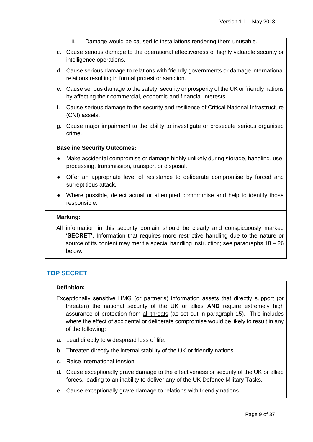- iii. Damage would be caused to installations rendering them unusable.
- c. Cause serious damage to the operational effectiveness of highly valuable security or intelligence operations.
- d. Cause serious damage to relations with friendly governments or damage international relations resulting in formal protest or sanction.
- e. Cause serious damage to the safety, security or prosperity of the UK or friendly nations by affecting their commercial, economic and financial interests.
- f. Cause serious damage to the security and resilience of Critical National Infrastructure (CNI) assets.
- g. Cause major impairment to the ability to investigate or prosecute serious organised crime.

#### **Baseline Security Outcomes:**

- Make accidental compromise or damage highly unlikely during storage, handling, use, processing, transmission, transport or disposal.
- Offer an appropriate level of resistance to deliberate compromise by forced and surreptitious attack.
- Where possible, detect actual or attempted compromise and help to identify those responsible.

#### **Marking:**

All information in this security domain should be clearly and conspicuously marked **'SECRET'**. Information that requires more restrictive handling due to the nature or source of its content may merit a special handling instruction; see paragraphs 18 – 26 below.

#### **TOP SECRET**

#### **Definition:**

- Exceptionally sensitive HMG (or partner's) information assets that directly support (or threaten) the national security of the UK or allies **AND** require extremely high assurance of protection from all threats (as set out in paragraph 15). This includes where the effect of accidental or deliberate compromise would be likely to result in any of the following:
- a. Lead directly to widespread loss of life.
- b. Threaten directly the internal stability of the UK or friendly nations.
- c. Raise international tension.
- d. Cause exceptionally grave damage to the effectiveness or security of the UK or allied forces, leading to an inability to deliver any of the UK Defence Military Tasks.
- e. Cause exceptionally grave damage to relations with friendly nations.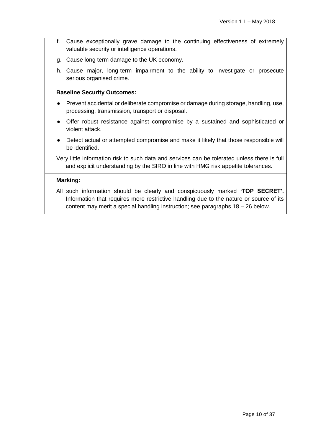- f. Cause exceptionally grave damage to the continuing effectiveness of extremely valuable security or intelligence operations.
- g. Cause long term damage to the UK economy.
- h. Cause major, long-term impairment to the ability to investigate or prosecute serious organised crime.

#### **Baseline Security Outcomes:**

- Prevent accidental or deliberate compromise or damage during storage, handling, use, processing, transmission, transport or disposal.
- Offer robust resistance against compromise by a sustained and sophisticated or violent attack.
- Detect actual or attempted compromise and make it likely that those responsible will be identified.

Very little information risk to such data and services can be tolerated unless there is full and explicit understanding by the SIRO in line with HMG risk appetite tolerances.

#### **Marking:**

All such information should be clearly and conspicuously marked **'TOP SECRET'.**  Information that requires more restrictive handling due to the nature or source of its content may merit a special handling instruction; see paragraphs 18 – 26 below.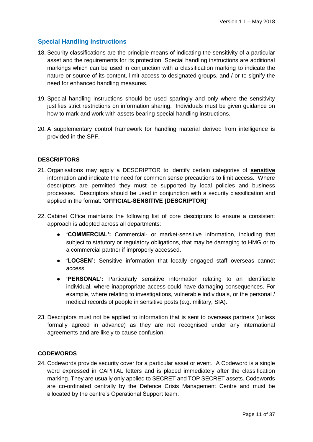## **Special Handling Instructions**

- 18. Security classifications are the principle means of indicating the sensitivity of a particular asset and the requirements for its protection. Special handling instructions are additional markings which can be used in conjunction with a classification marking to indicate the nature or source of its content, limit access to designated groups, and / or to signify the need for enhanced handling measures.
- 19. Special handling instructions should be used sparingly and only where the sensitivity justifies strict restrictions on information sharing. Individuals must be given guidance on how to mark and work with assets bearing special handling instructions.
- 20. A supplementary control framework for handling material derived from intelligence is provided in the SPF.

#### **DESCRIPTORS**

- 21. Organisations may apply a DESCRIPTOR to identify certain categories of **sensitive** information and indicate the need for common sense precautions to limit access. Where descriptors are permitted they must be supported by local policies and business processes. Descriptors should be used in conjunction with a security classification and applied in the format: '**OFFICIAL-SENSITIVE [DESCRIPTOR]'**
- 22. Cabinet Office maintains the following list of core descriptors to ensure a consistent approach is adopted across all departments:
	- **'COMMERCIAL':** Commercial- or market-sensitive information, including that subject to statutory or regulatory obligations, that may be damaging to HMG or to a commercial partner if improperly accessed.
	- **'LOCSEN':** Sensitive information that locally engaged staff overseas cannot access.
	- **'PERSONAL':** Particularly sensitive information relating to an identifiable individual, where inappropriate access could have damaging consequences. For example, where relating to investigations, vulnerable individuals, or the personal / medical records of people in sensitive posts (e.g. military, SIA).
- 23. Descriptors must not be applied to information that is sent to overseas partners (unless formally agreed in advance) as they are not recognised under any international agreements and are likely to cause confusion.

#### **CODEWORDS**

24. Codewords provide security cover for a particular asset or event. A Codeword is a single word expressed in CAPITAL letters and is placed immediately after the classification marking. They are usually only applied to SECRET and TOP SECRET assets. Codewords are co-ordinated centrally by the Defence Crisis Management Centre and must be allocated by the centre's Operational Support team.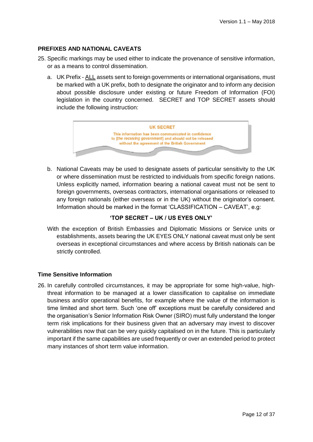#### **PREFIXES AND NATIONAL CAVEATS**

- 25. Specific markings may be used either to indicate the provenance of sensitive information, or as a means to control dissemination.
	- a. UK Prefix ALL assets sent to foreign governments or international organisations, must be marked with a UK prefix, both to designate the originator and to inform any decision about possible disclosure under existing or future Freedom of Information (FOI) legislation in the country concerned. SECRET and TOP SECRET assets should include the following instruction:



b. National Caveats may be used to designate assets of particular sensitivity to the UK or where dissemination must be restricted to individuals from specific foreign nations. Unless explicitly named, information bearing a national caveat must not be sent to foreign governments, overseas contractors, international organisations or released to any foreign nationals (either overseas or in the UK) without the originator's consent. Information should be marked in the format 'CLASSIFICATION – CAVEAT', e.g:

#### **'TOP SECRET – UK / US EYES ONLY'**

With the exception of British Embassies and Diplomatic Missions or Service units or establishments, assets bearing the UK EYES ONLY national caveat must only be sent overseas in exceptional circumstances and where access by British nationals can be strictly controlled.

#### **Time Sensitive Information**

26. In carefully controlled circumstances, it may be appropriate for some high-value, highthreat information to be managed at a lower classification to capitalise on immediate business and/or operational benefits, for example where the value of the information is time limited and short term. Such 'one off' exceptions must be carefully considered and the organisation's Senior Information Risk Owner (SIRO) must fully understand the longer term risk implications for their business given that an adversary may invest to discover vulnerabilities now that can be very quickly capitalised on in the future. This is particularly important if the same capabilities are used frequently or over an extended period to protect many instances of short term value information.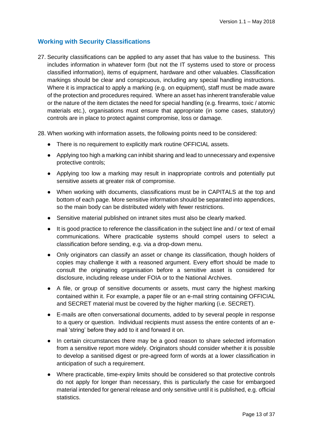## **Working with Security Classifications**

27. Security classifications can be applied to any asset that has value to the business. This includes information in whatever form (but not the IT systems used to store or process classified information), items of equipment, hardware and other valuables. Classification markings should be clear and conspicuous, including any special handling instructions. Where it is impractical to apply a marking (e.g. on equipment), staff must be made aware of the protection and procedures required. Where an asset has inherent transferable value or the nature of the item dictates the need for special handling (e.g. firearms, toxic / atomic materials etc.), organisations must ensure that appropriate (in some cases, statutory) controls are in place to protect against compromise, loss or damage.

28. When working with information assets, the following points need to be considered:

- There is no requirement to explicitly mark routine OFFICIAL assets.
- Applying too high a marking can inhibit sharing and lead to unnecessary and expensive protective controls;
- Applying too low a marking may result in inappropriate controls and potentially put sensitive assets at greater risk of compromise.
- When working with documents, classifications must be in CAPITALS at the top and bottom of each page. More sensitive information should be separated into appendices, so the main body can be distributed widely with fewer restrictions.
- Sensitive material published on intranet sites must also be clearly marked.
- It is good practice to reference the classification in the subject line and / or text of email communications. Where practicable systems should compel users to select a classification before sending, e.g. via a drop-down menu.
- Only originators can classify an asset or change its classification, though holders of copies may challenge it with a reasoned argument. Every effort should be made to consult the originating organisation before a sensitive asset is considered for disclosure, including release under FOIA or to the National Archives.
- A file, or group of sensitive documents or assets, must carry the highest marking contained within it. For example, a paper file or an e-mail string containing OFFICIAL and SECRET material must be covered by the higher marking (i.e. SECRET).
- E-mails are often conversational documents, added to by several people in response to a query or question. Individual recipients must assess the entire contents of an email 'string' before they add to it and forward it on.
- In certain circumstances there may be a good reason to share selected information from a sensitive report more widely. Originators should consider whether it is possible to develop a sanitised digest or pre-agreed form of words at a lower classification in anticipation of such a requirement.
- Where practicable, time-expiry limits should be considered so that protective controls do not apply for longer than necessary, this is particularly the case for embargoed material intended for general release and only sensitive until it is published, e.g. official statistics.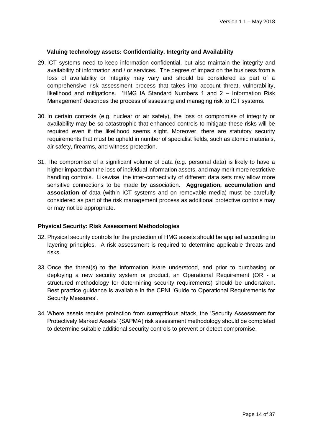#### **Valuing technology assets: Confidentiality, Integrity and Availability**

- 29. ICT systems need to keep information confidential, but also maintain the integrity and availability of information and / or services. The degree of impact on the business from a loss of availability or integrity may vary and should be considered as part of a comprehensive risk assessment process that takes into account threat, vulnerability, likelihood and mitigations. 'HMG IA Standard Numbers 1 and 2 – Information Risk Management' describes the process of assessing and managing risk to ICT systems.
- 30. In certain contexts (e.g. nuclear or air safety), the loss or compromise of integrity or availability may be so catastrophic that enhanced controls to mitigate these risks will be required even if the likelihood seems slight. Moreover, there are statutory security requirements that must be upheld in number of specialist fields, such as atomic materials, air safety, firearms, and witness protection.
- 31. The compromise of a significant volume of data (e.g. personal data) is likely to have a higher impact than the loss of individual information assets, and may merit more restrictive handling controls. Likewise, the inter-connectivity of different data sets may allow more sensitive connections to be made by association. **Aggregation, accumulation and association** of data (within ICT systems and on removable media) must be carefully considered as part of the risk management process as additional protective controls may or may not be appropriate.

#### **Physical Security: Risk Assessment Methodologies**

- 32. Physical security controls for the protection of HMG assets should be applied according to layering principles. A risk assessment is required to determine applicable threats and risks.
- 33. Once the threat(s) to the information is/are understood, and prior to purchasing or deploying a new security system or product, an Operational Requirement (OR - a structured methodology for determining security requirements) should be undertaken. Best practice guidance is available in the CPNI 'Guide to Operational Requirements for Security Measures'.
- 34. Where assets require protection from surreptitious attack, the 'Security Assessment for Protectively Marked Assets' (SAPMA) risk assessment methodology should be completed to determine suitable additional security controls to prevent or detect compromise.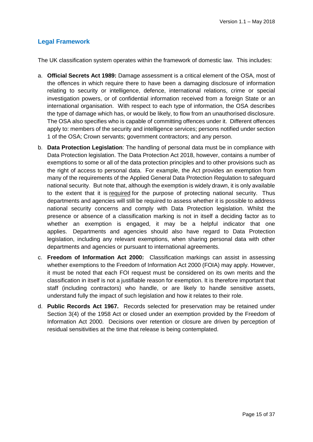## **Legal Framework**

The UK classification system operates within the framework of domestic law. This includes:

- a. **Official Secrets Act 1989:** Damage assessment is a critical element of the OSA, most of the offences in which require there to have been a damaging disclosure of information relating to security or intelligence, defence, international relations, crime or special investigation powers, or of confidential information received from a foreign State or an international organisation. With respect to each type of information, the OSA describes the type of damage which has, or would be likely, to flow from an unauthorised disclosure. The OSA also specifies who is capable of committing offences under it. Different offences apply to: members of the security and intelligence services; persons notified under section 1 of the OSA; Crown servants; government contractors; and any person.
- b. **Data Protection Legislation**: The handling of personal data must be in compliance with Data Protection legislation. The Data Protection Act 2018, however, contains a number of exemptions to some or all of the data protection principles and to other provisions such as the right of access to personal data. For example, the Act provides an exemption from many of the requirements of the Applied General Data Protection Regulation to safeguard national security. But note that, although the exemption is widely drawn, it is only available to the extent that it is required for the purpose of protecting national security. Thus departments and agencies will still be required to assess whether it is possible to address national security concerns and comply with Data Protection legislation. Whilst the presence or absence of a classification marking is not in itself a deciding factor as to whether an exemption is engaged, it may be a helpful indicator that one applies. Departments and agencies should also have regard to Data Protection legislation, including any relevant exemptions, when sharing personal data with other departments and agencies or pursuant to international agreements.
- c. **Freedom of Information Act 2000:** Classification markings can assist in assessing whether exemptions to the Freedom of Information Act 2000 (FOIA) may apply. However, it must be noted that each FOI request must be considered on its own merits and the classification in itself is not a justifiable reason for exemption. It is therefore important that staff (including contractors) who handle, or are likely to handle sensitive assets, understand fully the impact of such legislation and how it relates to their role.
- d. **Public Records Act 1967.** Records selected for preservation may be retained under Section 3(4) of the 1958 Act or closed under an exemption provided by the Freedom of Information Act 2000. Decisions over retention or closure are driven by perception of residual sensitivities at the time that release is being contemplated.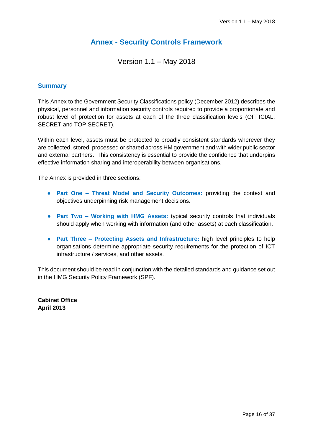## **Annex - Security Controls Framework**

Version 1.1 – May 2018

#### **Summary**

This Annex to the Government Security Classifications policy (December 2012) describes the physical, personnel and information security controls required to provide a proportionate and robust level of protection for assets at each of the three classification levels (OFFICIAL, SECRET and TOP SECRET).

Within each level, assets must be protected to broadly consistent standards wherever they are collected, stored, processed or shared across HM government and with wider public sector and external partners. This consistency is essential to provide the confidence that underpins effective information sharing and interoperability between organisations.

The Annex is provided in three sections:

- **Part One – Threat Model and Security Outcomes:** providing the context and objectives underpinning risk management decisions.
- **Part Two – Working with HMG Assets:** typical security controls that individuals should apply when working with information (and other assets) at each classification.
- **Part Three – Protecting Assets and Infrastructure:** high level principles to help organisations determine appropriate security requirements for the protection of ICT infrastructure / services, and other assets.

This document should be read in conjunction with the detailed standards and guidance set out in the HMG Security Policy Framework (SPF).

**Cabinet Office April 2013**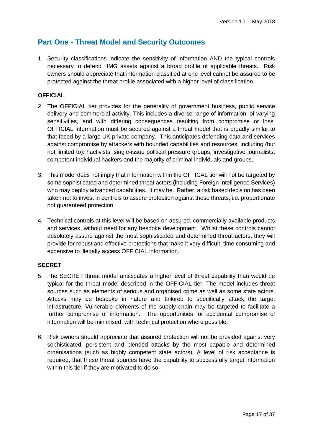## **Part One - Threat Model and Security Outcomes**

1. Security classifications indicate the sensitivity of information AND the typical controls necessary to defend HMG assets against a broad profile of applicable threats. Risk owners should appreciate that information classified at one level cannot be assured to be protected against the threat profile associated with a higher level of classification.

#### **OFFICIAL**

- 2. The OFFICIAL tier provides for the generality of government business, public service delivery and commercial activity. This includes a diverse range of information, of varying sensitivities, and with differing consequences resulting from compromise or loss. OFFICIAL information must be secured against a threat model that is broadly similar to that faced by a large UK private company. This anticipates defending data and services against compromise by attackers with bounded capabilities and resources, including (but not limited to): hactivists, single-issue political pressure groups, investigative journalists, competent individual hackers and the majority of criminal individuals and groups.
- 3. This model does not imply that information within the OFFICAL tier will not be targeted by some sophisticated and determined threat actors (including Foreign Intelligence Services) who may deploy advanced capabilities. It may be. Rather, a risk based decision has been taken not to invest in controls to assure protection against those threats, i.e. proportionate not guaranteed protection.
- 4. Technical controls at this level will be based on assured, commercially available products and services, without need for any bespoke development. Whilst these controls cannot absolutely assure against the most sophisticated and determined threat actors, they will provide for robust and effective protections that make it very difficult, time consuming and expensive to illegally access OFFICIAL information.

#### **SECRET**

- 5. The SECRET threat model anticipates a higher level of threat capability than would be typical for the threat model described in the OFFICIAL tier. The model includes threat sources such as elements of serious and organised crime as well as some state actors. Attacks may be bespoke in nature and tailored to specifically attack the target infrastructure. Vulnerable elements of the supply chain may be targeted to facilitate a further compromise of information. The opportunities for accidental compromise of information will be minimised, with technical protection where possible.
- 6. Risk owners should appreciate that assured protection will not be provided against very sophisticated, persistent and blended attacks by the most capable and determined organisations (such as highly competent state actors). A level of risk acceptance is required, that these threat sources have the capability to successfully target information within this tier if they are motivated to do so.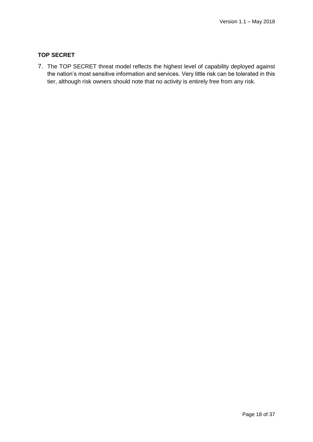#### **TOP SECRET**

7. The TOP SECRET threat model reflects the highest level of capability deployed against the nation's most sensitive information and services. Very little risk can be tolerated in this tier, although risk owners should note that no activity is entirely free from any risk.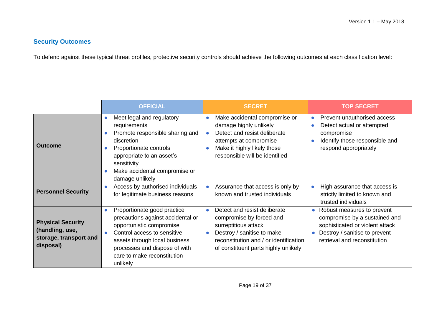## **Security Outcomes**

To defend against these typical threat profiles, protective security controls should achieve the following outcomes at each classification level:

|                                                                                    | <b>OFFICIAL</b>                                                                                                                                                                                                                                       | <b>SECRET</b>                                                                                                                                                                                                              | <b>TOP SECRET</b>                                                                                                                                                                         |
|------------------------------------------------------------------------------------|-------------------------------------------------------------------------------------------------------------------------------------------------------------------------------------------------------------------------------------------------------|----------------------------------------------------------------------------------------------------------------------------------------------------------------------------------------------------------------------------|-------------------------------------------------------------------------------------------------------------------------------------------------------------------------------------------|
| <b>Outcome</b>                                                                     | Meet legal and regulatory<br>$\bullet$<br>requirements<br>Promote responsible sharing and<br>discretion<br>Proportionate controls<br>appropriate to an asset's<br>sensitivity<br>Make accidental compromise or<br>damage unlikely                     | Make accidental compromise or<br>$\bullet$<br>damage highly unlikely<br>Detect and resist deliberate<br>attempts at compromise<br>Make it highly likely those<br>responsible will be identified                            | Prevent unauthorised access<br>Detect actual or attempted<br>compromise<br>Identify those responsible and<br>respond appropriately                                                        |
| <b>Personnel Security</b>                                                          | Access by authorised individuals<br>$\bullet$<br>for legitimate business reasons                                                                                                                                                                      | Assurance that access is only by<br>$\bullet$<br>known and trusted individuals                                                                                                                                             | High assurance that access is<br>strictly limited to known and<br>trusted individuals                                                                                                     |
| <b>Physical Security</b><br>(handling, use,<br>storage, transport and<br>disposal) | Proportionate good practice<br>$\bullet$<br>precautions against accidental or<br>opportunistic compromise<br>Control access to sensitive<br>assets through local business<br>processes and dispose of with<br>care to make reconstitution<br>unlikely | Detect and resist deliberate<br>$\bullet$<br>compromise by forced and<br>surreptitious attack<br>Destroy / sanitise to make<br>$\bullet$<br>reconstitution and / or identification<br>of constituent parts highly unlikely | Robust measures to prevent<br>$\bullet$<br>compromise by a sustained and<br>sophisticated or violent attack<br>Destroy / sanitise to prevent<br>$\bullet$<br>retrieval and reconstitution |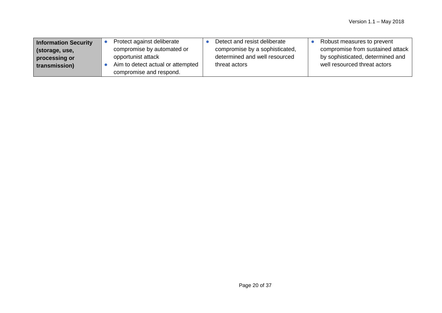| Information Security | Protect against deliberate                                   | Detect and resist deliberate   | Robust measures to prevent       |
|----------------------|--------------------------------------------------------------|--------------------------------|----------------------------------|
| storage, use,        | compromise by automated or                                   | compromise by a sophisticated, | compromise from sustained attack |
| processing or        | opportunist attack                                           | determined and well resourced  | by sophisticated, determined and |
| transmission)        | Aim to detect actual or attempted<br>compromise and respond. | threat actors                  | well resourced threat actors     |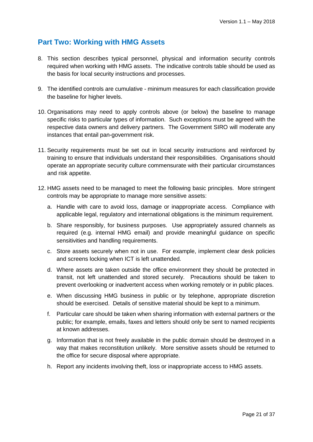## **Part Two: Working with HMG Assets**

- 8. This section describes typical personnel, physical and information security controls required when working with HMG assets. The indicative controls table should be used as the basis for local security instructions and processes.
- 9. The identified controls are cumulative minimum measures for each classification provide the baseline for higher levels.
- 10. Organisations may need to apply controls above (or below) the baseline to manage specific risks to particular types of information. Such exceptions must be agreed with the respective data owners and delivery partners. The Government SIRO will moderate any instances that entail pan-government risk.
- 11. Security requirements must be set out in local security instructions and reinforced by training to ensure that individuals understand their responsibilities. Organisations should operate an appropriate security culture commensurate with their particular circumstances and risk appetite.
- 12. HMG assets need to be managed to meet the following basic principles. More stringent controls may be appropriate to manage more sensitive assets:
	- a. Handle with care to avoid loss, damage or inappropriate access. Compliance with applicable legal, regulatory and international obligations is the minimum requirement.
	- b. Share responsibly, for business purposes. Use appropriately assured channels as required (e.g. internal HMG email) and provide meaningful guidance on specific sensitivities and handling requirements.
	- c. Store assets securely when not in use. For example, implement clear desk policies and screens locking when ICT is left unattended.
	- d. Where assets are taken outside the office environment they should be protected in transit, not left unattended and stored securely. Precautions should be taken to prevent overlooking or inadvertent access when working remotely or in public places.
	- e. When discussing HMG business in public or by telephone, appropriate discretion should be exercised. Details of sensitive material should be kept to a minimum.
	- f. Particular care should be taken when sharing information with external partners or the public; for example, emails, faxes and letters should only be sent to named recipients at known addresses.
	- g. Information that is not freely available in the public domain should be destroyed in a way that makes reconstitution unlikely. More sensitive assets should be returned to the office for secure disposal where appropriate.
	- h. Report any incidents involving theft, loss or inappropriate access to HMG assets.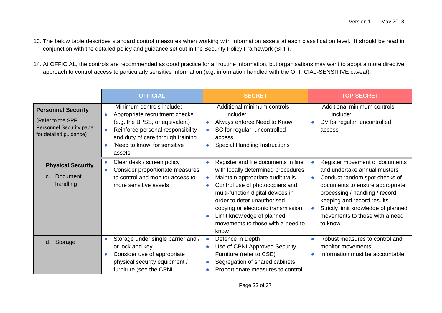- 13. The below table describes standard control measures when working with information assets at each classification level. It should be read in conjunction with the detailed policy and guidance set out in the Security Policy Framework (SPF).
- 14. At OFFICIAL, the controls are recommended as good practice for all routine information, but organisations may want to adopt a more directive approach to control access to particularly sensitive information (e.g. information handled with the OFFICIAL-SENSITIVE caveat).

|                                                                                                      | <b>OFFICIAL</b>                                                                                                                                                                                                                | <b>SECRET</b>                                                                                                                                                                                                                                                                                                                                                                              | <b>TOP SECRET</b>                                                                                                                                                                                                                                                                      |
|------------------------------------------------------------------------------------------------------|--------------------------------------------------------------------------------------------------------------------------------------------------------------------------------------------------------------------------------|--------------------------------------------------------------------------------------------------------------------------------------------------------------------------------------------------------------------------------------------------------------------------------------------------------------------------------------------------------------------------------------------|----------------------------------------------------------------------------------------------------------------------------------------------------------------------------------------------------------------------------------------------------------------------------------------|
| <b>Personnel Security</b><br>(Refer to the SPF<br>Personnel Security paper<br>for detailed guidance) | Minimum controls include:<br>Appropriate recruitment checks<br>(e.g. the BPSS, or equivalent)<br>Reinforce personal responsibility<br>$\bullet$<br>and duty of care through training<br>'Need to know' for sensitive<br>assets | Additional minimum controls<br>include:<br>Always enforce Need to Know<br>$\bullet$<br>SC for regular, uncontrolled<br>$\bullet$<br>access<br><b>Special Handling Instructions</b><br>$\bullet$                                                                                                                                                                                            | Additional minimum controls<br>include:<br>DV for regular, uncontrolled<br>access                                                                                                                                                                                                      |
| <b>Physical Security</b><br><b>Document</b><br>$C_{\cdot}$<br>handling                               | Clear desk / screen policy<br>$\bullet$<br>Consider proportionate measures<br>$\bullet$<br>to control and monitor access to<br>more sensitive assets                                                                           | Register and file documents in line<br>$\bullet$<br>with locally determined procedures<br>Maintain appropriate audit trails<br>$\bullet$<br>Control use of photocopiers and<br>$\bullet$<br>multi-function digital devices in<br>order to deter unauthorised<br>copying or electronic transmission<br>Limit knowledge of planned<br>$\bullet$<br>movements to those with a need to<br>know | Register movement of documents<br>and undertake annual musters<br>Conduct random spot checks of<br>documents to ensure appropriate<br>processing / handling / record<br>keeping and record results<br>Strictly limit knowledge of planned<br>movements to those with a need<br>to know |
| d. Storage                                                                                           | Storage under single barrier and /<br>or lock and key<br>Consider use of appropriate<br>physical security equipment /<br>furniture (see the CPNI                                                                               | Defence in Depth<br>$\bullet$<br>Use of CPNI Approved Security<br>$\bullet$<br>Furniture (refer to CSE)<br>Segregation of shared cabinets<br>$\bullet$<br>Proportionate measures to control<br>$\bullet$                                                                                                                                                                                   | Robust measures to control and<br>monitor movements<br>Information must be accountable                                                                                                                                                                                                 |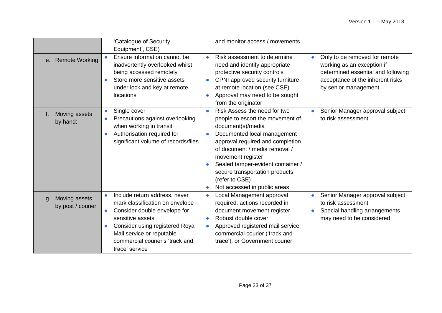|                                          | 'Catalogue of Security                                                                                                                                                                                                                                              | and monitor access / movements                                                                                                                                                                                                                                                                                                                                                 |                                                                                                                                                               |
|------------------------------------------|---------------------------------------------------------------------------------------------------------------------------------------------------------------------------------------------------------------------------------------------------------------------|--------------------------------------------------------------------------------------------------------------------------------------------------------------------------------------------------------------------------------------------------------------------------------------------------------------------------------------------------------------------------------|---------------------------------------------------------------------------------------------------------------------------------------------------------------|
|                                          | Equipment', CSE)                                                                                                                                                                                                                                                    |                                                                                                                                                                                                                                                                                                                                                                                |                                                                                                                                                               |
| e. Remote Working                        | Ensure information cannot be<br>inadvertently overlooked whilst<br>being accessed remotely<br>Store more sensitive assets<br>under lock and key at remote<br>locations                                                                                              | Risk assessment to determine<br>$\bullet$<br>need and identify appropriate<br>protective security controls<br>CPNI approved security furniture<br>at remote location (see CSE)<br>Approval may need to be sought<br>$\bullet$<br>from the originator                                                                                                                           | Only to be removed for remote<br>working as an exception if<br>determined essential and following<br>acceptance of the inherent risks<br>by senior management |
| Moving assets<br>f.<br>by hand:          | Single cover<br>$\bullet$<br>Precautions against overlooking<br>$\bullet$<br>when working in transit<br>Authorisation required for<br>significant volume of records/files                                                                                           | Risk Assess the need for two<br>$\bullet$<br>people to escort the movement of<br>document(s)/media<br>Documented local management<br>$\bullet$<br>approval required and completion<br>of document / media removal /<br>movement register<br>Sealed tamper-evident container /<br>secure transportation products<br>(refer to CSE)<br>Not accessed in public areas<br>$\bullet$ | Senior Manager approval subject<br>to risk assessment                                                                                                         |
| Moving assets<br>g.<br>by post / courier | Include return address, never<br>$\bullet$<br>mark classification on envelope<br>Consider double envelope for<br>$\bullet$<br>sensitive assets<br>Consider using registered Royal<br>Mail service or reputable<br>commercial courier's 'track and<br>trace' service | Local Management approval<br>$\bullet$<br>required, actions recorded in<br>document movement register<br>Robust double cover<br>$\bullet$<br>Approved registered mail service<br>$\bullet$<br>commercial courier ('track and<br>trace'), or Government courier                                                                                                                 | Senior Manager approval subject<br>to risk assessment<br>Special handling arrangements<br>may need to be considered                                           |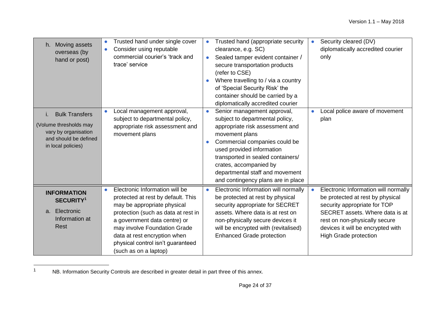| Moving assets<br>h.<br>overseas (by<br>hand or post)<br><b>Bulk Transfers</b><br>i.           | Trusted hand under single cover<br>$\bullet$<br>Consider using reputable<br>$\bullet$<br>commercial courier's 'track and<br>trace' service<br>Local management approval,<br>$\bullet$<br>subject to departmental policy,                                                                                              | Trusted hand (appropriate security<br>$\bullet$<br>clearance, e.g. SC)<br>Sealed tamper evident container /<br>$\bullet$<br>secure transportation products<br>(refer to CSE)<br>Where travelling to / via a country<br>of 'Special Security Risk' the<br>container should be carried by a<br>diplomatically accredited courier<br>Senior management approval,<br>$\bullet$<br>subject to departmental policy, | Security cleared (DV)<br>$\bullet$<br>diplomatically accredited courier<br>only<br>Local police aware of movement<br>plan                                                                                                                                      |
|-----------------------------------------------------------------------------------------------|-----------------------------------------------------------------------------------------------------------------------------------------------------------------------------------------------------------------------------------------------------------------------------------------------------------------------|---------------------------------------------------------------------------------------------------------------------------------------------------------------------------------------------------------------------------------------------------------------------------------------------------------------------------------------------------------------------------------------------------------------|----------------------------------------------------------------------------------------------------------------------------------------------------------------------------------------------------------------------------------------------------------------|
| (Volume thresholds may<br>vary by organisation<br>and should be defined<br>in local policies) | appropriate risk assessment and<br>movement plans                                                                                                                                                                                                                                                                     | appropriate risk assessment and<br>movement plans<br>Commercial companies could be<br>$\bullet$<br>used provided information<br>transported in sealed containers/<br>crates, accompanied by<br>departmental staff and movement<br>and contingency plans are in place                                                                                                                                          |                                                                                                                                                                                                                                                                |
| <b>INFORMATION</b><br><b>SECURITY1</b><br>Electronic<br>a.<br>Information at<br>Rest          | Electronic Information will be<br>$\bullet$<br>protected at rest by default. This<br>may be appropriate physical<br>protection (such as data at rest in<br>a government data centre) or<br>may involve Foundation Grade<br>data at rest encryption when<br>physical control isn't guaranteed<br>(such as on a laptop) | Electronic Information will normally<br>$\bullet$<br>be protected at rest by physical<br>security appropriate for SECRET<br>assets. Where data is at rest on<br>non-physically secure devices it<br>will be encrypted with (revitalised)<br><b>Enhanced Grade protection</b>                                                                                                                                  | Electronic Information will normally<br>$\bullet$<br>be protected at rest by physical<br>security appropriate for TOP<br>SECRET assets. Where data is at<br>rest on non-physically secure<br>devices it will be encrypted with<br><b>High Grade protection</b> |

 $\overline{1}$ <sup>1</sup> NB. Information Security Controls are described in greater detail in part three of this annex.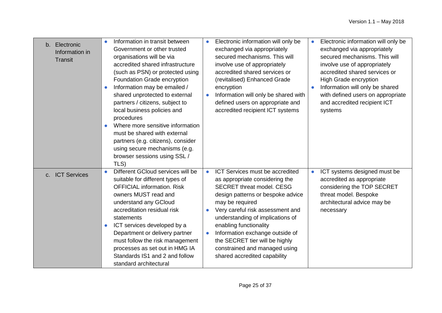| b. Electronic   |            | Information in transit between     | $\bullet$ | Electronic information will only be                                  | $\bullet$ | Electronic information will only be |
|-----------------|------------|------------------------------------|-----------|----------------------------------------------------------------------|-----------|-------------------------------------|
| Information in  |            | Government or other trusted        |           | exchanged via appropriately                                          |           | exchanged via appropriately         |
| <b>Transit</b>  |            | organisations will be via          |           | secured mechanisms. This will                                        |           | secured mechanisms. This will       |
|                 |            | accredited shared infrastructure   |           | involve use of appropriately                                         |           | involve use of appropriately        |
|                 |            | (such as PSN) or protected using   |           | accredited shared services or                                        |           | accredited shared services or       |
|                 |            | Foundation Grade encryption        |           | (revitalised) Enhanced Grade                                         |           | High Grade encryption               |
|                 |            | Information may be emailed /       |           | encryption                                                           |           | Information will only be shared     |
|                 |            | shared unprotected to external     | $\bullet$ | Information will only be shared with                                 |           | with defined users on appropriate   |
|                 |            | partners / citizens, subject to    |           | defined users on appropriate and                                     |           | and accredited recipient ICT        |
|                 |            | local business policies and        |           | accredited recipient ICT systems                                     |           | systems                             |
|                 | procedures |                                    |           |                                                                      |           |                                     |
|                 |            | Where more sensitive information   |           |                                                                      |           |                                     |
|                 |            | must be shared with external       |           |                                                                      |           |                                     |
|                 |            | partners (e.g. citizens), consider |           |                                                                      |           |                                     |
|                 |            | using secure mechanisms (e.g.      |           |                                                                      |           |                                     |
|                 |            | browser sessions using SSL /       |           |                                                                      |           |                                     |
|                 | TLS)       |                                    |           |                                                                      |           |                                     |
| c. ICT Services |            | Different GCloud services will be  | $\bullet$ | ICT Services must be accredited                                      | $\bullet$ | ICT systems designed must be        |
|                 |            | suitable for different types of    |           | as appropriate considering the                                       |           | accredited as appropriate           |
|                 |            | <b>OFFICIAL information. Risk</b>  |           | <b>SECRET threat model. CESG</b>                                     |           | considering the TOP SECRET          |
|                 |            | owners MUST read and               |           | design patterns or bespoke advice                                    |           | threat model. Bespoke               |
|                 |            | understand any GCloud              |           | may be required                                                      |           | architectural advice may be         |
|                 | statements | accreditation residual risk        |           | Very careful risk assessment and<br>understanding of implications of |           | necessary                           |
|                 |            | ICT services developed by a        |           | enabling functionality                                               |           |                                     |
|                 |            | Department or delivery partner     | $\bullet$ | Information exchange outside of                                      |           |                                     |
|                 |            | must follow the risk management    |           | the SECRET tier will be highly                                       |           |                                     |
|                 |            | processes as set out in HMG IA     |           | constrained and managed using                                        |           |                                     |
|                 |            | Standards IS1 and 2 and follow     |           | shared accredited capability                                         |           |                                     |
|                 |            | standard architectural             |           |                                                                      |           |                                     |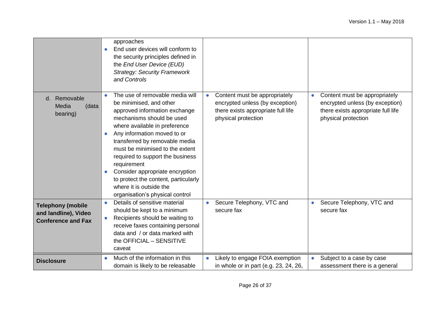|                                                                               | approaches<br>End user devices will conform to<br>$\bullet$<br>the security principles defined in<br>the End User Device (EUD)<br><b>Strategy: Security Framework</b><br>and Controls                                                                                                                                                                                                                                                                                                            |                                                                                                                                            |                                                                                                                               |
|-------------------------------------------------------------------------------|--------------------------------------------------------------------------------------------------------------------------------------------------------------------------------------------------------------------------------------------------------------------------------------------------------------------------------------------------------------------------------------------------------------------------------------------------------------------------------------------------|--------------------------------------------------------------------------------------------------------------------------------------------|-------------------------------------------------------------------------------------------------------------------------------|
| d. Removable<br>Media<br>(data<br>bearing)                                    | The use of removable media will<br>$\bullet$<br>be minimised, and other<br>approved information exchange<br>mechanisms should be used<br>where available in preference<br>Any information moved to or<br>$\bullet$<br>transferred by removable media<br>must be minimised to the extent<br>required to support the business<br>requirement<br>Consider appropriate encryption<br>$\bullet$<br>to protect the content, particularly<br>where it is outside the<br>organisation's physical control | Content must be appropriately<br>$\bullet$<br>encrypted unless (by exception)<br>there exists appropriate full life<br>physical protection | Content must be appropriately<br>encrypted unless (by exception)<br>there exists appropriate full life<br>physical protection |
| <b>Telephony (mobile</b><br>and landline), Video<br><b>Conference and Fax</b> | Details of sensitive material<br>$\bullet$<br>should be kept to a minimum<br>Recipients should be waiting to<br>$\bullet$<br>receive faxes containing personal<br>data and / or data marked with<br>the OFFICIAL - SENSITIVE<br>caveat                                                                                                                                                                                                                                                           | Secure Telephony, VTC and<br>secure fax                                                                                                    | Secure Telephony, VTC and<br>secure fax                                                                                       |
| <b>Disclosure</b>                                                             | Much of the information in this<br>$\bullet$<br>domain is likely to be releasable                                                                                                                                                                                                                                                                                                                                                                                                                | Likely to engage FOIA exemption<br>$\bullet$<br>in whole or in part (e.g. 23, 24, 26,                                                      | Subject to a case by case<br>$\bullet$<br>assessment there is a general                                                       |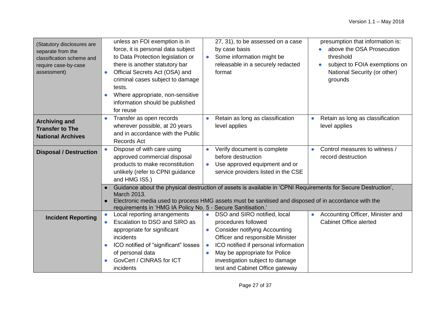| (Statutory disclosures are<br>separate from the<br>classification scheme and<br>require case-by-case<br>assessment) | unless an FOI exemption is in<br>force, it is personal data subject<br>to Data Protection legislation or<br>there is another statutory bar<br>Official Secrets Act (OSA) and<br>$\bullet$<br>criminal cases subject to damage<br>tests.<br>Where appropriate, non-sensitive<br>information should be published<br>for reuse | 27, 31), to be assessed on a case<br>by case basis<br>Some information might be<br>releasable in a securely redacted<br>format                                                                                                                                                                                                     | presumption that information is:<br>above the OSA Prosecution<br>threshold<br>subject to FOIA exemptions on<br>$\bullet$<br>National Security (or other)<br>grounds |
|---------------------------------------------------------------------------------------------------------------------|-----------------------------------------------------------------------------------------------------------------------------------------------------------------------------------------------------------------------------------------------------------------------------------------------------------------------------|------------------------------------------------------------------------------------------------------------------------------------------------------------------------------------------------------------------------------------------------------------------------------------------------------------------------------------|---------------------------------------------------------------------------------------------------------------------------------------------------------------------|
| <b>Archiving and</b><br><b>Transfer to The</b><br><b>National Archives</b>                                          | Transfer as open records<br>$\bullet$<br>wherever possible, at 20 years<br>and in accordance with the Public<br><b>Records Act</b>                                                                                                                                                                                          | Retain as long as classification<br>$\bullet$<br>level applies                                                                                                                                                                                                                                                                     | Retain as long as classification<br>$\bullet$<br>level applies                                                                                                      |
| <b>Disposal / Destruction</b>                                                                                       | Dispose of with care using<br>$\bullet$<br>approved commercial disposal<br>products to make reconstitution<br>unlikely (refer to CPNI guidance<br>and HMG IS5.)                                                                                                                                                             | Verify document is complete<br>before destruction<br>Use approved equipment and or<br>service providers listed in the CSE                                                                                                                                                                                                          | Control measures to witness /<br>record destruction                                                                                                                 |
|                                                                                                                     | March 2013.                                                                                                                                                                                                                                                                                                                 | Guidance about the physical destruction of assets is available in 'CPNI Requirements for Secure Destruction',<br>Electronic media used to process HMG assets must be sanitised and disposed of in accordance with the<br>requirements in 'HMG IA Policy No. 5 - Secure Sanitisation.'                                              |                                                                                                                                                                     |
| <b>Incident Reporting</b>                                                                                           | Local reporting arrangements<br>$\bullet$<br>Escalation to DSO and SIRO as<br>$\bullet$<br>appropriate for significant<br>incidents<br>ICO notified of "significant" losses<br>of personal data<br>GovCert / CINRAS for ICT<br>incidents                                                                                    | DSO and SIRO notified, local<br>$\bullet$<br>procedures followed<br><b>Consider notifying Accounting</b><br>$\bullet$<br>Officer and responsible Minister<br>ICO notified if personal information<br>$\bullet$<br>May be appropriate for Police<br>$\bullet$<br>investigation subject to damage<br>test and Cabinet Office gateway | Accounting Officer, Minister and<br><b>Cabinet Office alerted</b>                                                                                                   |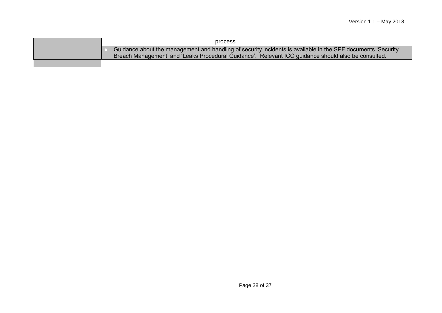|  | process                                                                                                                                                                                                             |  |  |  |  |  |
|--|---------------------------------------------------------------------------------------------------------------------------------------------------------------------------------------------------------------------|--|--|--|--|--|
|  | Guidance about the management and handling of security incidents is available in the SPF documents 'Security<br>Breach Management' and 'Leaks Procedural Guidance'. Relevant ICO guidance should also be consulted. |  |  |  |  |  |
|  |                                                                                                                                                                                                                     |  |  |  |  |  |
|  |                                                                                                                                                                                                                     |  |  |  |  |  |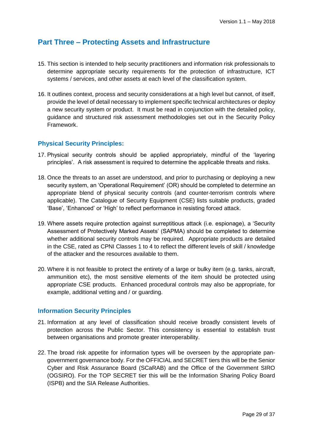## **Part Three – Protecting Assets and Infrastructure**

- 15. This section is intended to help security practitioners and information risk professionals to determine appropriate security requirements for the protection of infrastructure, ICT systems / services, and other assets at each level of the classification system.
- 16. It outlines context, process and security considerations at a high level but cannot, of itself, provide the level of detail necessary to implement specific technical architectures or deploy a new security system or product. It must be read in conjunction with the detailed policy, guidance and structured risk assessment methodologies set out in the Security Policy Framework.

#### **Physical Security Principles:**

- 17. Physical security controls should be applied appropriately, mindful of the 'layering principles'. A risk assessment is required to determine the applicable threats and risks.
- 18. Once the threats to an asset are understood, and prior to purchasing or deploying a new security system, an 'Operational Requirement' (OR) should be completed to determine an appropriate blend of physical security controls (and counter-terrorism controls where applicable). The Catalogue of Security Equipment (CSE) lists suitable products, graded 'Base', 'Enhanced' or 'High' to reflect performance in resisting forced attack.
- 19. Where assets require protection against surreptitious attack (i.e. espionage), a 'Security Assessment of Protectively Marked Assets' (SAPMA) should be completed to determine whether additional security controls may be required. Appropriate products are detailed in the CSE, rated as CPNI Classes 1 to 4 to reflect the different levels of skill / knowledge of the attacker and the resources available to them.
- 20. Where it is not feasible to protect the entirety of a large or bulky item (e.g. tanks, aircraft, ammunition etc), the most sensitive elements of the item should be protected using appropriate CSE products. Enhanced procedural controls may also be appropriate, for example, additional vetting and / or guarding.

#### **Information Security Principles**

- 21. Information at any level of classification should receive broadly consistent levels of protection across the Public Sector. This consistency is essential to establish trust between organisations and promote greater interoperability.
- 22. The broad risk appetite for information types will be overseen by the appropriate pangovernment governance body. For the OFFICIAL and SECRET tiers this will be the Senior Cyber and Risk Assurance Board (SCaRAB) and the Office of the Government SIRO (OGSIRO). For the TOP SECRET tier this will be the Information Sharing Policy Board (ISPB) and the SIA Release Authorities.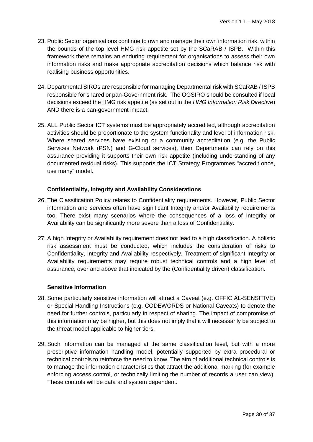- 23. Public Sector organisations continue to own and manage their own information risk, within the bounds of the top level HMG risk appetite set by the SCaRAB / ISPB. Within this framework there remains an enduring requirement for organisations to assess their own information risks and make appropriate accreditation decisions which balance risk with realising business opportunities.
- 24. Departmental SIROs are responsible for managing Departmental risk with SCaRAB / ISPB responsible for shared or pan-Government risk. The OGSIRO should be consulted if local decisions exceed the HMG risk appetite (as set out in the *HMG Information Risk Directive*) AND there is a pan-government impact.
- 25. ALL Public Sector ICT systems must be appropriately accredited, although accreditation activities should be proportionate to the system functionality and level of information risk. Where shared services have existing or a community accreditation (e.g. the Public Services Network (PSN) and G-Cloud services), then Departments can rely on this assurance providing it supports their own risk appetite (including understanding of any documented residual risks). This supports the ICT Strategy Programmes "accredit once, use many" model.

#### **Confidentiality, Integrity and Availability Considerations**

- 26. The Classification Policy relates to Confidentiality requirements. However, Public Sector information and services often have significant Integrity and/or Availability requirements too. There exist many scenarios where the consequences of a loss of Integrity or Availability can be significantly more severe than a loss of Confidentiality.
- 27. A high Integrity or Availability requirement does not lead to a high classification. A holistic risk assessment must be conducted, which includes the consideration of risks to Confidentiality, Integrity and Availability respectively. Treatment of significant Integrity or Availability requirements may require robust technical controls and a high level of assurance, over and above that indicated by the (Confidentiality driven) classification.

#### **Sensitive Information**

- 28. Some particularly sensitive information will attract a Caveat (e.g. OFFICIAL-SENSITIVE) or Special Handling Instructions (e.g. CODEWORDS or National Caveats) to denote the need for further controls, particularly in respect of sharing. The impact of compromise of this information may be higher, but this does not imply that it will necessarily be subject to the threat model applicable to higher tiers.
- 29. Such information can be managed at the same classification level, but with a more prescriptive information handling model, potentially supported by extra procedural or technical controls to reinforce the need to know. The aim of additional technical controls is to manage the information characteristics that attract the additional marking (for example enforcing access control, or technically limiting the number of records a user can view). These controls will be data and system dependent.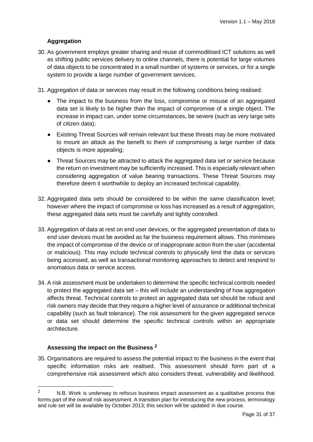## **Aggregation**

- 30. As government employs greater sharing and reuse of commoditised ICT solutions as well as shifting public services delivery to online channels, there is potential for large volumes of data objects to be concentrated in a small number of systems or services, or for a single system to provide a large number of government services.
- 31. Aggregation of data or services may result in the following conditions being realised:
	- The impact to the business from the loss, compromise or misuse of an aggregated data set is likely to be higher than the impact of compromise of a single object. The increase in impact can, under some circumstances, be severe (such as very large sets of citizen data);
	- Existing Threat Sources will remain relevant but these threats may be more motivated to mount an attack as the benefit to them of compromising a large number of data objects is more appealing;
	- Threat Sources may be attracted to attack the aggregated data set or service because the return on investment may be sufficiently increased. This is especially relevant when considering aggregation of value bearing transactions. These Threat Sources may therefore deem it worthwhile to deploy an increased technical capability.
- 32. Aggregated data sets should be considered to be within the same classification level; however where the impact of compromise or loss has increased as a result of aggregation, these aggregated data sets must be carefully and tightly controlled.
- 33. Aggregation of data at rest on end user devices, or the aggregated presentation of data to end user devices must be avoided as far the business requirement allows. This minimises the impact of compromise of the device or of inappropriate action from the user (accidental or malicious). This may include technical controls to physically limit the data or services being accessed, as well as transactional monitoring approaches to detect and respond to anomalous data or service access.
- 34. A risk assessment must be undertaken to determine the specific technical controls needed to protect the aggregated data set  $-$  this will include an understanding of how aggregation affects threat. Technical controls to protect an aggregated data set should be robust and risk owners may decide that they require a higher level of assurance or additional technical capability (such as fault tolerance). The risk assessment for the given aggregated service or data set should determine the specific technical controls within an appropriate architecture.

#### **Assessing the impact on the Business <sup>2</sup>**

<u>.</u>

35. Organisations are required to assess the potential impact to the business in the event that specific information risks are realised. This assessment should form part of a comprehensive risk assessment which also considers threat, vulnerability and likelihood.

 $2 \text{ N.B.}$  Work is underway to refocus business impact assessment as a qualitative process that forms part of the overall risk assessment. A transition plan for introducing the new process, terminology and rule set will be available by October 2013; this section will be updated in due course.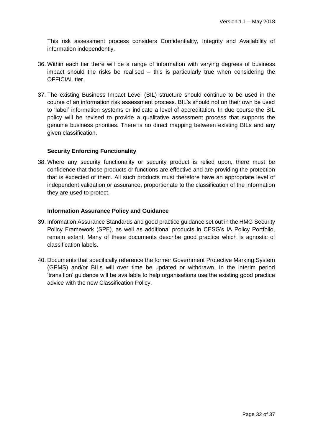This risk assessment process considers Confidentiality, Integrity and Availability of information independently.

- 36. Within each tier there will be a range of information with varying degrees of business impact should the risks be realised – this is particularly true when considering the OFFICIAL tier.
- 37. The existing Business Impact Level (BIL) structure should continue to be used in the course of an information risk assessment process. BIL's should not on their own be used to 'label' information systems or indicate a level of accreditation. In due course the BIL policy will be revised to provide a qualitative assessment process that supports the genuine business priorities. There is no direct mapping between existing BILs and any given classification.

#### **Security Enforcing Functionality**

38. Where any security functionality or security product is relied upon, there must be confidence that those products or functions are effective and are providing the protection that is expected of them. All such products must therefore have an appropriate level of independent validation or assurance, proportionate to the classification of the information they are used to protect.

#### **Information Assurance Policy and Guidance**

- 39. Information Assurance Standards and good practice guidance set out in the HMG Security Policy Framework (SPF), as well as additional products in CESG's IA Policy Portfolio, remain extant. Many of these documents describe good practice which is agnostic of classification labels.
- 40. Documents that specifically reference the former Government Protective Marking System (GPMS) and/or BILs will over time be updated or withdrawn. In the interim period 'transition' guidance will be available to help organisations use the existing good practice advice with the new Classification Policy.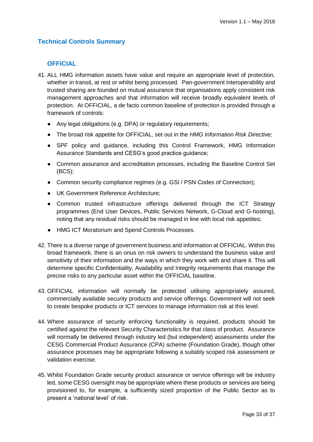## **Technical Controls Summary**

## **OFFICIAL**

- 41. ALL HMG information assets have value and require an appropriate level of protection, whether in transit, at rest or whilst being processed. Pan-government interoperability and trusted sharing are founded on mutual assurance that organisations apply consistent risk management approaches and that information will receive broadly equivalent levels of protection. At OFFICIAL, a de facto common baseline of protection is provided through a framework of controls:
	- Any legal obligations (e.g. DPA) or regulatory requirements;
	- The broad risk appetite for OFFICIAL, set out in the *HMG Information Risk Directive;*
	- SPF policy and guidance, including this Control Framework, HMG Information Assurance Standards and CESG's good practice guidance;
	- Common assurance and accreditation processes, including the Baseline Control Set (BCS);
	- Common security compliance regimes (e.g. GSI / PSN Codes of Connection);
	- UK Government Reference Architecture;
	- Common trusted infrastructure offerings delivered through the ICT Strategy programmes (End User Devices, Public Services Network, G-Cloud and G-hosting), noting that any residual risks should be managed in line with local risk appetites;
	- HMG ICT Moratorium and Spend Controls Processes.
- 42. There is a diverse range of government business and information at OFFICIAL. Within this broad framework, there is an onus on risk owners to understand the business value and sensitivity of their information and the ways in which they work with and share it. This will determine specific Confidentiality, Availability and Integrity requirements that manage the precise risks to any particular asset within the OFFICIAL baseline.
- 43. OFFICIAL information will normally be protected utilising appropriately assured, commercially available security products and service offerings. Government will not seek to create bespoke products or ICT services to manage information risk at this level.
- 44. Where assurance of security enforcing functionality is required, products should be certified against the relevant Security Characteristics for that class of product. Assurance will normally be delivered through industry led (but independent) assessments under the CESG Commercial Product Assurance (CPA) scheme (Foundation Grade), though other assurance processes may be appropriate following a suitably scoped risk assessment or validation exercise.
- 45. Whilst Foundation Grade security product assurance or service offerings will be industry led, some CESG oversight may be appropriate where these products or services are being provisioned to, for example, a sufficiently sized proportion of the Public Sector as to present a 'national level' of risk.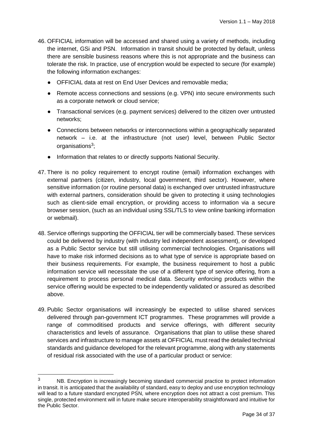- 46. OFFICIAL information will be accessed and shared using a variety of methods, including the internet, GSi and PSN. Information in transit should be protected by default, unless there are sensible business reasons where this is not appropriate and the business can tolerate the risk. In practice, use of encryption would be expected to secure (for example) the following information exchanges:
	- OFFICIAL data at rest on End User Devices and removable media;
	- Remote access connections and sessions (e.g. VPN) into secure environments such as a corporate network or cloud service;
	- Transactional services (e.g. payment services) delivered to the citizen over untrusted networks;
	- Connections between networks or interconnections within a geographically separated network – i.e. at the infrastructure (not user) level, between Public Sector organisations<sup>3</sup>;
	- Information that relates to or directly supports National Security.
- 47. There is no policy requirement to encrypt routine (email) information exchanges with external partners (citizen, industry, local government, third sector). However, where sensitive information (or routine personal data) is exchanged over untrusted infrastructure with external partners, consideration should be given to protecting it using technologies such as client-side email encryption, or providing access to information via a secure browser session, (such as an individual using SSL/TLS to view online banking information or webmail).
- 48. Service offerings supporting the OFFICIAL tier will be commercially based. These services could be delivered by industry (with industry led independent assessment), or developed as a Public Sector service but still utilising commercial technologies. Organisations will have to make risk informed decisions as to what type of service is appropriate based on their business requirements. For example, the business requirement to host a public information service will necessitate the use of a different type of service offering, from a requirement to process personal medical data. Security enforcing products within the service offering would be expected to be independently validated or assured as described above.
- 49. Public Sector organisations will increasingly be expected to utilise shared services delivered through pan-government ICT programmes. These programmes will provide a range of commoditised products and service offerings, with different security characteristics and levels of assurance. Organisations that plan to utilise these shared services and infrastructure to manage assets at OFFICIAL must read the detailed technical standards and guidance developed for the relevant programme, along with any statements of residual risk associated with the use of a particular product or service:

1

<sup>&</sup>lt;sup>3</sup> NB. Encryption is increasingly becoming standard commercial practice to protect information in transit. It is anticipated that the availability of standard, easy to deploy and use encryption technology will lead to a future standard encrypted PSN, where encryption does not attract a cost premium. This single, protected environment will in future make secure interoperability straightforward and intuitive for the Public Sector.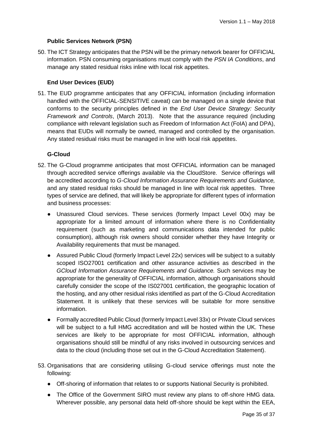#### **Public Services Network (PSN)**

50. The ICT Strategy anticipates that the PSN will be the primary network bearer for OFFICIAL information. PSN consuming organisations must comply with the *PSN IA Conditions*, and manage any stated residual risks inline with local risk appetites.

#### **End User Devices (EUD)**

51. The EUD programme anticipates that any OFFICIAL information (including information handled with the OFFICIAL-SENSITIVE caveat) can be managed on a single device that conforms to the security principles defined in the *End User Device Strategy: Security Framework and Controls*, (March 2013). Note that the assurance required (including compliance with relevant legislation such as Freedom of Information Act (FoIA) and DPA), means that EUDs will normally be owned, managed and controlled by the organisation. Any stated residual risks must be managed in line with local risk appetites.

#### **G-Cloud**

- 52. The G-Cloud programme anticipates that most OFFICIAL information can be managed through accredited service offerings available via the CloudStore. Service offerings will be accredited according to *G-Cloud Information Assurance Requirements and Guidance,*  and any stated residual risks should be managed in line with local risk appetites. Three types of service are defined, that will likely be appropriate for different types of information and business processes:
	- Unassured Cloud services. These services (formerly Impact Level 00x) may be appropriate for a limited amount of information where there is no Confidentiality requirement (such as marketing and communications data intended for public consumption), although risk owners should consider whether they have Integrity or Availability requirements that must be managed.
	- Assured Public Cloud (formerly Impact Level 22x) services will be subject to a suitably scoped ISO27001 certification and other assurance activities as described in the *GCloud Information Assurance Requirements and Guidance.* Such services may be appropriate for the generality of OFFICIAL information, although organisations should carefully consider the scope of the IS027001 certification, the geographic location of the hosting, and any other residual risks identified as part of the G-Cloud Accreditation Statement. It is unlikely that these services will be suitable for more sensitive information.
	- Formally accredited Public Cloud (formerly Impact Level 33x) or Private Cloud services will be subject to a full HMG accreditation and will be hosted within the UK. These services are likely to be appropriate for most OFFICIAL information, although organisations should still be mindful of any risks involved in outsourcing services and data to the cloud (including those set out in the G-Cloud Accreditation Statement).
- 53. Organisations that are considering utilising G-cloud service offerings must note the following:
	- Off-shoring of information that relates to or supports National Security is prohibited.
	- The Office of the Government SIRO must review any plans to off-shore HMG data. Wherever possible, any personal data held off-shore should be kept within the EEA,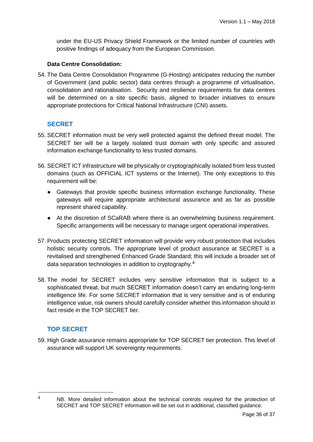under the EU-US Privacy Shield Framework or the limited number of countries with positive findings of adequacy from the European Commission.

#### **Data Centre Consolidation:**

54. The Data Centre Consolidation Programme (G-Hosting) anticipates reducing the number of Government (and public sector) data centres through a programme of virtualisation, consolidation and rationalisation. Security and resilience requirements for data centres will be determined on a site specific basis, aligned to broader initiatives to ensure appropriate protections for Critical National Infrastructure (CNI) assets.

#### **SECRET**

- 55. SECRET information must be very well protected against the defined threat model. The SECRET tier will be a largely isolated trust domain with only specific and assured information exchange functionality to less trusted domains.
- 56. SECRET ICT infrastructure will be physically or cryptographically isolated from less trusted domains (such as OFFICIAL ICT systems or the Internet). The only exceptions to this requirement will be:
	- Gateways that provide specific business information exchange functionality. These gateways will require appropriate architectural assurance and as far as possible represent shared capability.
	- At the discretion of SCaRAB where there is an overwhelming business requirement. Specific arrangements will be necessary to manage urgent operational imperatives.
- 57. Products protecting SECRET information will provide very robust protection that includes holistic security controls. The appropriate level of product assurance at SECRET is a revitalised and strengthened Enhanced Grade Standard; this will include a broader set of data separation technologies in addition to cryptography.<sup>4</sup>
- 58. The model for SECRET includes very sensitive information that is subject to a sophisticated threat, but much SECRET information doesn't carry an enduring long-term intelligence life. For some SECRET information that is very sensitive and is of enduring intelligence value, risk owners should carefully consider whether this information should in fact reside in the TOP SECRET tier.

## **TOP SECRET**

59. High Grade assurance remains appropriate for TOP SECRET tier protection. This level of assurance will support UK sovereignty requirements.

<sup>1</sup> 

<sup>&</sup>lt;sup>4</sup> NB. More detailed information about the technical controls required for the protection of SECRET and TOP SECRET information will be set out in additional, classified guidance.